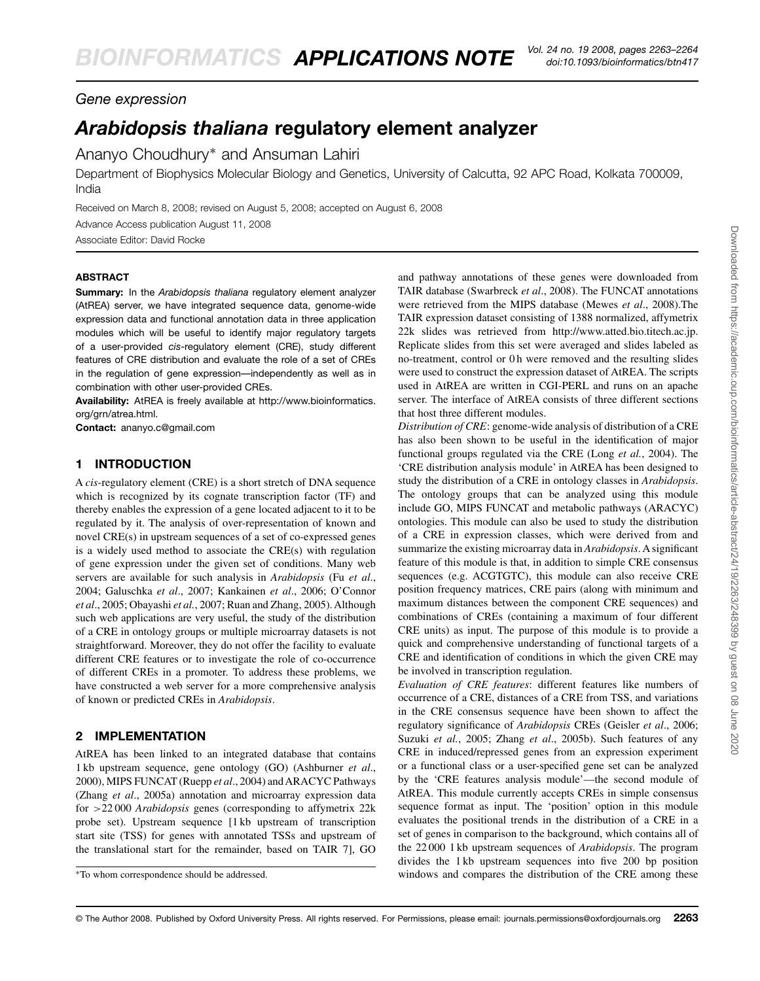## *Gene expression*

# *Arabidopsis thaliana* **regulatory element analyzer**

Ananyo Choudhury∗ and Ansuman Lahiri

Department of Biophysics Molecular Biology and Genetics, University of Calcutta, 92 APC Road, Kolkata 700009, India

Received on March 8, 2008; revised on August 5, 2008; accepted on August 6, 2008 Advance Access publication August 11, 2008

Associate Editor: David Rocke

#### **ABSTRACT**

**Summary:** In the *Arabidopsis thaliana* regulatory element analyzer (AtREA) server, we have integrated sequence data, genome-wide expression data and functional annotation data in three application modules which will be useful to identify major regulatory targets of a user-provided *cis*-regulatory element (CRE), study different features of CRE distribution and evaluate the role of a set of CREs in the regulation of gene expression—independently as well as in combination with other user-provided CREs.

**Availability:** AtREA is freely available at [http://www.bioinformatics.](http://www.bioinformatics) org/grn/atrea.html.

**Contact:** ananyo.c@gmail.com

#### **1 INTRODUCTION**

A *cis*-regulatory element (CRE) is a short stretch of DNA sequence which is recognized by its cognate transcription factor (TF) and thereby enables the expression of a gene located adjacent to it to be regulated by it. The analysis of over-representation of known and novel CRE(s) in upstream sequences of a set of co-expressed genes is a widely used method to associate the CRE(s) with regulation of gene expression under the given set of conditions. Many web servers are available for such analysis in *Arabidopsis* (Fu *et al*., 2004; Galuschka *et al*., 2007; Kankainen *et al*., 2006; O'Connor *et al*., 2005; Obayashi *et al.*, 2007; Ruan and Zhang, 2005). Although such web applications are very useful, the study of the distribution of a CRE in ontology groups or multiple microarray datasets is not straightforward. Moreover, they do not offer the facility to evaluate different CRE features or to investigate the role of co-occurrence of different CREs in a promoter. To address these problems, we have constructed a web server for a more comprehensive analysis of known or predicted CREs in *Arabidopsis*.

### **2 IMPLEMENTATION**

AtREA has been linked to an integrated database that contains 1 kb upstream sequence, gene ontology (GO) (Ashburner *et al*., 2000), MIPS FUNCAT (Ruepp et al., 2004) and ARACYC Pathways (Zhang *et al*., 2005a) annotation and microarray expression data for >22 000 *Arabidopsis* genes (corresponding to affymetrix 22k probe set). Upstream sequence [1 kb upstream of transcription start site (TSS) for genes with annotated TSSs and upstream of the translational start for the remainder, based on TAIR 7], GO

and pathway annotations of these genes were downloaded from TAIR database (Swarbreck *et al*., 2008). The FUNCAT annotations were retrieved from the MIPS database (Mewes *et al*., 2008).The TAIR expression dataset consisting of 1388 normalized, affymetrix 22k slides was retrieved from [http://www.atted.bio.titech.ac.jp.](http://www.atted.bio.titech.ac.jp) Replicate slides from this set were averaged and slides labeled as no-treatment, control or 0 h were removed and the resulting slides were used to construct the expression dataset of AtREA. The scripts used in AtREA are written in CGI-PERL and runs on an apache server. The interface of AtREA consists of three different sections that host three different modules.

*Distribution of CRE*: genome-wide analysis of distribution of a CRE has also been shown to be useful in the identification of major functional groups regulated via the CRE (Long *et al.*, 2004). The 'CRE distribution analysis module' in AtREA has been designed to study the distribution of a CRE in ontology classes in *Arabidopsis*. The ontology groups that can be analyzed using this module include GO, MIPS FUNCAT and metabolic pathways (ARACYC) ontologies. This module can also be used to study the distribution of a CRE in expression classes, which were derived from and summarize the existing microarray data in *Arabidopsis*. A significant feature of this module is that, in addition to simple CRE consensus sequences (e.g. ACGTGTC), this module can also receive CRE position frequency matrices, CRE pairs (along with minimum and maximum distances between the component CRE sequences) and combinations of CREs (containing a maximum of four different CRE units) as input. The purpose of this module is to provide a quick and comprehensive understanding of functional targets of a CRE and identification of conditions in which the given CRE may be involved in transcription regulation.

*Evaluation of CRE features*: different features like numbers of occurrence of a CRE, distances of a CRE from TSS, and variations in the CRE consensus sequence have been shown to affect the regulatory significance of *Arabidopsis* CREs (Geisler *et al*., 2006; Suzuki *et al.*, 2005; Zhang *et al*., 2005b). Such features of any CRE in induced/repressed genes from an expression experiment or a functional class or a user-specified gene set can be analyzed by the 'CRE features analysis module'—the second module of AtREA. This module currently accepts CREs in simple consensus sequence format as input. The 'position' option in this module evaluates the positional trends in the distribution of a CRE in a set of genes in comparison to the background, which contains all of the 22 000 1 kb upstream sequences of *Arabidopsis*. The program divides the 1 kb upstream sequences into five 200 bp position windows and compares the distribution of the CRE among these

<sup>∗</sup>To whom correspondence should be addressed.